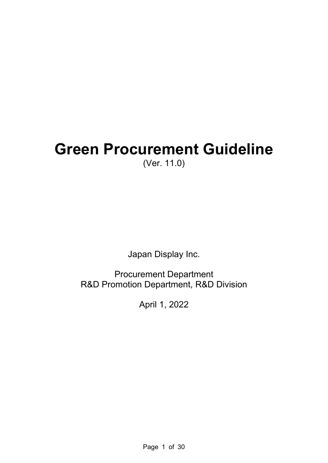# **Green Procurement Guideline**  (Ver. 11.0)

Japan Display Inc.

Procurement Department R&D Promotion Department, R&D Division

April 1, 2022

Page 1 of 30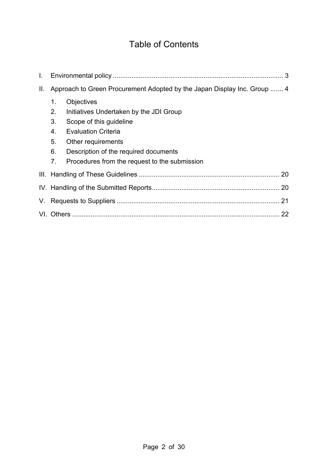# Table of Contents

| $\mathbf{L}$    |                                                                                                                                                                                                                                                                          |  |  |
|-----------------|--------------------------------------------------------------------------------------------------------------------------------------------------------------------------------------------------------------------------------------------------------------------------|--|--|
| $\prod_{i=1}^n$ | Approach to Green Procurement Adopted by the Japan Display Inc. Group  4                                                                                                                                                                                                 |  |  |
|                 | 1.<br>Objectives<br>2.<br>Initiatives Undertaken by the JDI Group<br>3.<br>Scope of this guideline<br><b>Evaluation Criteria</b><br>4.<br>5.<br>Other requirements<br>6.<br>Description of the required documents<br>7.<br>Procedures from the request to the submission |  |  |
|                 |                                                                                                                                                                                                                                                                          |  |  |
|                 |                                                                                                                                                                                                                                                                          |  |  |
|                 |                                                                                                                                                                                                                                                                          |  |  |
|                 |                                                                                                                                                                                                                                                                          |  |  |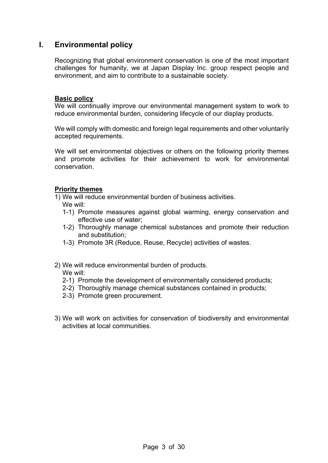# **I. Environmental policy**

Recognizing that global environment conservation is one of the most important challenges for humanity, we at Japan Display Inc. group respect people and environment, and aim to contribute to a sustainable society.

#### **Basic policy**

We will continually improve our environmental management system to work to reduce environmental burden, considering lifecycle of our display products.

We will comply with domestic and foreign legal requirements and other voluntarily accepted requirements.

We will set environmental objectives or others on the following priority themes and promote activities for their achievement to work for environmental conservation.

#### **Priority themes**

1) We will reduce environmental burden of business activities.

- We will:
- 1-1) Promote measures against global warming, energy conservation and effective use of water;
- 1-2) Thoroughly manage chemical substances and promote their reduction and substitution;
- 1-3) Promote 3R (Reduce, Reuse, Recycle) activities of wastes.
- 2) We will reduce environmental burden of products.

We will:

- 2-1) Promote the development of environmentally considered products;
- 2-2) Thoroughly manage chemical substances contained in products;
- 2-3) Promote green procurement.
- 3) We will work on activities for conservation of biodiversity and environmental activities at local communities.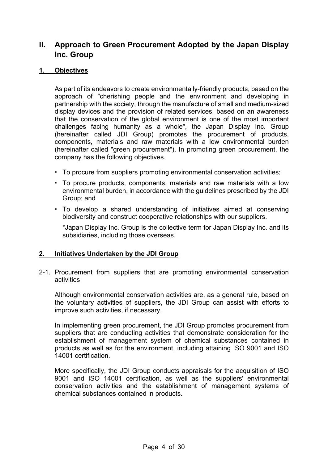# **II. Approach to Green Procurement Adopted by the Japan Display Inc. Group**

#### **1. Objectives**

As part of its endeavors to create environmentally-friendly products, based on the approach of "cherishing people and the environment and developing in partnership with the society, through the manufacture of small and medium-sized display devices and the provision of related services, based on an awareness that the conservation of the global environment is one of the most important challenges facing humanity as a whole", the Japan Display Inc. Group (hereinafter called JDI Group) promotes the procurement of products, components, materials and raw materials with a low environmental burden (hereinafter called "green procurement"). In promoting green procurement, the company has the following objectives.

- To procure from suppliers promoting environmental conservation activities;
- To procure products, components, materials and raw materials with a low environmental burden, in accordance with the guidelines prescribed by the JDI Group; and
- To develop a shared understanding of initiatives aimed at conserving biodiversity and construct cooperative relationships with our suppliers.

\*Japan Display Inc. Group is the collective term for Japan Display Inc. and its subsidiaries, including those overseas.

#### **2. Initiatives Undertaken by the JDI Group**

2-1. Procurement from suppliers that are promoting environmental conservation activities

Although environmental conservation activities are, as a general rule, based on the voluntary activities of suppliers, the JDI Group can assist with efforts to improve such activities, if necessary.

In implementing green procurement, the JDI Group promotes procurement from suppliers that are conducting activities that demonstrate consideration for the establishment of management system of chemical substances contained in products as well as for the environment, including attaining ISO 9001 and ISO 14001 certification.

More specifically, the JDI Group conducts appraisals for the acquisition of ISO 9001 and ISO 14001 certification, as well as the suppliers' environmental conservation activities and the establishment of management systems of chemical substances contained in products.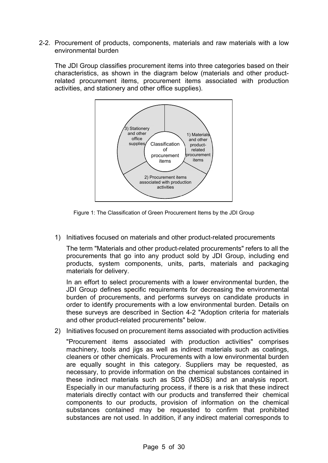2-2. Procurement of products, components, materials and raw materials with a low environmental burden

The JDI Group classifies procurement items into three categories based on their characteristics, as shown in the diagram below (materials and other productrelated procurement items, procurement items associated with production activities, and stationery and other office supplies).



Figure 1: The Classification of Green Procurement Items by the JDI Group

1) Initiatives focused on materials and other product-related procurements

The term "Materials and other product-related procurements" refers to all the procurements that go into any product sold by JDI Group, including end products, system components, units, parts, materials and packaging materials for delivery.

In an effort to select procurements with a lower environmental burden, the JDI Group defines specific requirements for decreasing the environmental burden of procurements, and performs surveys on candidate products in order to identify procurements with a low environmental burden. Details on these surveys are described in Section 4-2 "Adoption criteria for materials and other product-related procurements" below.

2) Initiatives focused on procurement items associated with production activities

"Procurement items associated with production activities" comprises machinery, tools and jigs as well as indirect materials such as coatings, cleaners or other chemicals. Procurements with a low environmental burden are equally sought in this category. Suppliers may be requested, as necessary, to provide information on the chemical substances contained in these indirect materials such as SDS (MSDS) and an analysis report. Especially in our manufacturing process, if there is a risk that these indirect materials directly contact with our products and transferred their chemical components to our products, provision of information on the chemical substances contained may be requested to confirm that prohibited substances are not used. In addition, if any indirect material corresponds to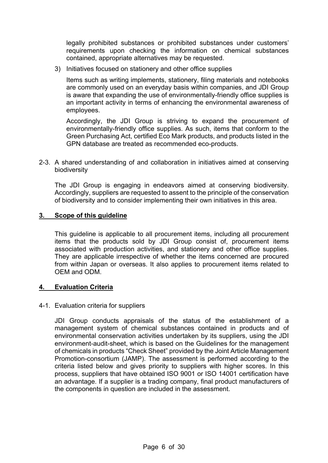legally prohibited substances or prohibited substances under customers' requirements upon checking the information on chemical substances contained, appropriate alternatives may be requested.

3) Initiatives focused on stationery and other office supplies

Items such as writing implements, stationery, filing materials and notebooks are commonly used on an everyday basis within companies, and JDI Group is aware that expanding the use of environmentally-friendly office supplies is an important activity in terms of enhancing the environmental awareness of employees.

Accordingly, the JDI Group is striving to expand the procurement of environmentally-friendly office supplies. As such, items that conform to the Green Purchasing Act, certified Eco Mark products, and products listed in the GPN database are treated as recommended eco-products.

2-3. A shared understanding of and collaboration in initiatives aimed at conserving biodiversity

The JDI Group is engaging in endeavors aimed at conserving biodiversity. Accordingly, suppliers are requested to assent to the principle of the conservation of biodiversity and to consider implementing their own initiatives in this area.

#### **3. Scope of this guideline**

This guideline is applicable to all procurement items, including all procurement items that the products sold by JDI Group consist of, procurement items associated with production activities, and stationery and other office supplies. They are applicable irrespective of whether the items concerned are procured from within Japan or overseas. It also applies to procurement items related to OEM and ODM.

#### **4. Evaluation Criteria**

#### 4-1. Evaluation criteria for suppliers

JDI Group conducts appraisals of the status of the establishment of a management system of chemical substances contained in products and of environmental conservation activities undertaken by its suppliers, using the JDI environment-audit-sheet, which is based on the Guidelines for the management of chemicals in products "Check Sheet" provided by the Joint Article Management Promotion-consortium (JAMP). The assessment is performed according to the criteria listed below and gives priority to suppliers with higher scores. In this process, suppliers that have obtained ISO 9001 or ISO 14001 certification have an advantage. If a supplier is a trading company, final product manufacturers of the components in question are included in the assessment.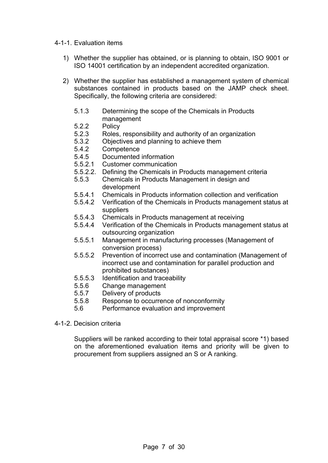#### 4-1-1. Evaluation items

- 1) Whether the supplier has obtained, or is planning to obtain, ISO 9001 or ISO 14001 certification by an independent accredited organization.
- 2) Whether the supplier has established a management system of chemical substances contained in products based on the JAMP check sheet. Specifically, the following criteria are considered:
	- 5.1.3 Determining the scope of the Chemicals in Products management
	- 5.2.2 Policy
	- 5.2.3 Roles, responsibility and authority of an organization
	- 5.3.2 Objectives and planning to achieve them
	- 5.4.2 Competence
	- 5.4.5 Documented information
	- 5.5.2.1 Customer communication
	- 5.5.2.2. Defining the Chemicals in Products management criteria
	- 5.5.3 Chemicals in Products Management in design and development
	- 5.5.4.1 Chemicals in Products information collection and verification
	- 5.5.4.2 Verification of the Chemicals in Products management status at suppliers
	- 5.5.4.3 Chemicals in Products management at receiving
	- 5.5.4.4 Verification of the Chemicals in Products management status at outsourcing organization
	- 5.5.5.1 Management in manufacturing processes (Management of conversion process)
	- 5.5.5.2 Prevention of incorrect use and contamination (Management of incorrect use and contamination for parallel production and prohibited substances)
	- 5.5.5.3 Identification and traceability
	- 5.5.6 Change management
	- 5.5.7 Delivery of products
	- 5.5.8 Response to occurrence of nonconformity
	- 5.6 Performance evaluation and improvement
- 4-1-2. Decision criteria

Suppliers will be ranked according to their total appraisal score \*1) based on the aforementioned evaluation items and priority will be given to procurement from suppliers assigned an S or A ranking.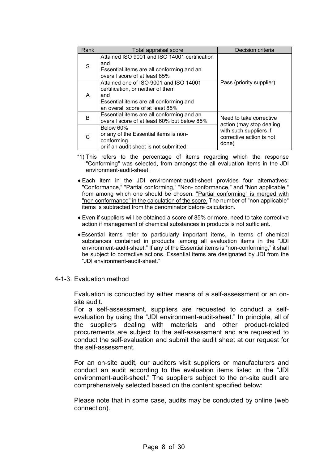| Rank | Total appraisal score                                                                                                                                            | Decision criteria                                           |  |
|------|------------------------------------------------------------------------------------------------------------------------------------------------------------------|-------------------------------------------------------------|--|
| S    | Attained ISO 9001 and ISO 14001 certification<br>and<br>Essential items are all conforming and an<br>overall score of at least 85%                               |                                                             |  |
| A    | Attained one of ISO 9001 and ISO 14001<br>certification, or neither of them<br>and<br>Essential items are all conforming and<br>an overall score of at least 85% | Pass (priority supplier)                                    |  |
| B    | Essential items are all conforming and an<br>overall score of at least 60% but below 85%                                                                         | Need to take corrective<br>action (may stop dealing         |  |
|      | Below 60%<br>or any of the Essential items is non-<br>conforming<br>or if an audit sheet is not submitted                                                        | with such suppliers if<br>corrective action is not<br>done) |  |

- \*1) This refers to the percentage of items regarding which the response "Conforming" was selected, from amongst the all evaluation items in the JDI environment-audit-sheet.
- Each item in the JDI environment-audit-sheet provides four alternatives: "Conformance," "Partial conforming," "Non- conformance," and "Non applicable," from among which one should be chosen. "Partial conforming" is merged with "non conformance" in the calculation of the score. The number of "non applicable" items is subtracted from the denominator before calculation.
- Even if suppliers will be obtained a score of 85% or more, need to take corrective action if management of chemical substances in products is not sufficient.
- Essential items refer to particularly important items, in terms of chemical substances contained in products, among all evaluation items in the "JDI environment-audit-sheet." If any of the Essential items is "non-conforming," it shall be subject to corrective actions. Essential items are designated by JDI from the "JDI environment-audit-sheet."

#### 4-1-3. Evaluation method

Evaluation is conducted by either means of a self-assessment or an onsite audit.

For a self-assessment, suppliers are requested to conduct a selfevaluation by using the "JDI environment-audit-sheet." In principle, all of the suppliers dealing with materials and other product-related procurements are subject to the self-assessment and are requested to conduct the self-evaluation and submit the audit sheet at our request for the self-assessment.

For an on-site audit, our auditors visit suppliers or manufacturers and conduct an audit according to the evaluation items listed in the "JDI environment-audit-sheet." The suppliers subject to the on-site audit are comprehensively selected based on the content specified below:

Please note that in some case, audits may be conducted by online (web connection).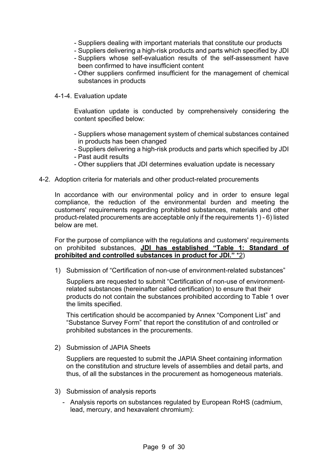- Suppliers dealing with important materials that constitute our products
- Suppliers delivering a high-risk products and parts which specified by JDI
- Suppliers whose self-evaluation results of the self-assessment have been confirmed to have insufficient content
- Other suppliers confirmed insufficient for the management of chemical substances in products
- 4-1-4. Evaluation update

Evaluation update is conducted by comprehensively considering the content specified below:

- Suppliers whose management system of chemical substances contained in products has been changed
- Suppliers delivering a high-risk products and parts which specified by JDI
- Past audit results
- Other suppliers that JDI determines evaluation update is necessary
- 4-2. Adoption criteria for materials and other product-related procurements

In accordance with our environmental policy and in order to ensure legal compliance, the reduction of the environmental burden and meeting the customers' requirements regarding prohibited substances, materials and other product-related procurements are acceptable only if the requirements 1) - 6) listed below are met.

For the purpose of compliance with the regulations and customers' requirements on prohibited substances, **JDI has established "Table 1: Standard of prohibited and controlled substances in product for JDI."** \*2)

1) Submission of "Certification of non-use of environment-related substances"

Suppliers are requested to submit "Certification of non-use of environmentrelated substances (hereinafter called certification) to ensure that their products do not contain the substances prohibited according to Table 1 over the limits specified.

This certification should be accompanied by Annex "Component List" and "Substance Survey Form" that report the constitution of and controlled or prohibited substances in the procurements.

2) Submission of JAPIA Sheets

Suppliers are requested to submit the JAPIA Sheet containing information on the constitution and structure levels of assemblies and detail parts, and thus, of all the substances in the procurement as homogeneous materials.

- 3) Submission of analysis reports
	- Analysis reports on substances regulated by European RoHS (cadmium, lead, mercury, and hexavalent chromium):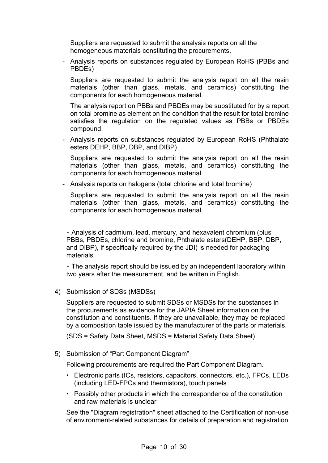Suppliers are requested to submit the analysis reports on all the homogeneous materials constituting the procurements.

- Analysis reports on substances regulated by European RoHS (PBBs and PBDEs)

Suppliers are requested to submit the analysis report on all the resin materials (other than glass, metals, and ceramics) constituting the components for each homogeneous material.

The analysis report on PBBs and PBDEs may be substituted for by a report on total bromine as element on the condition that the result for total bromine satisfies the regulation on the regulated values as PBBs or PBDEs compound.

- Analysis reports on substances regulated by European RoHS (Phthalate esters DEHP, BBP, DBP, and DIBP)

Suppliers are requested to submit the analysis report on all the resin materials (other than glass, metals, and ceramics) constituting the components for each homogeneous material.

- Analysis reports on halogens (total chlorine and total bromine)

Suppliers are requested to submit the analysis report on all the resin materials (other than glass, metals, and ceramics) constituting the components for each homogeneous material.

 Analysis of cadmium, lead, mercury, and hexavalent chromium (plus PBBs, PBDEs, chlorine and bromine, Phthalate esters(DEHP, BBP, DBP, and DIBP), if specifically required by the JDI) is needed for packaging materials.

 The analysis report should be issued by an independent laboratory within two years after the measurement, and be written in English.

4) Submission of SDSs (MSDSs)

Suppliers are requested to submit SDSs or MSDSs for the substances in the procurements as evidence for the JAPIA Sheet information on the constitution and constituents. If they are unavailable, they may be replaced by a composition table issued by the manufacturer of the parts or materials.

(SDS = Safety Data Sheet, MSDS = Material Safety Data Sheet)

5) Submission of "Part Component Diagram"

Following procurements are required the Part Component Diagram.

- Electronic parts (ICs, resistors, capacitors, connectors, etc.), FPCs, LEDs (including LED-FPCs and thermistors), touch panels
- Possibly other products in which the correspondence of the constitution and raw materials is unclear

See the "Diagram registration" sheet attached to the Certification of non-use of environment-related substances for details of preparation and registration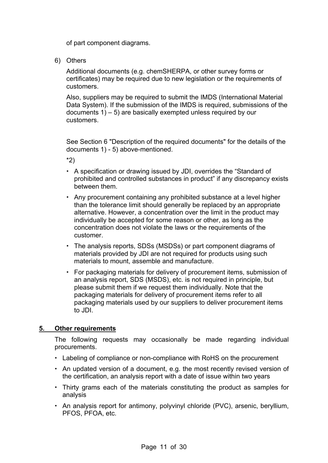of part component diagrams.

6) Others

Additional documents (e.g. chemSHERPA, or other survey forms or certificates) may be required due to new legislation or the requirements of customers.

Also, suppliers may be required to submit the IMDS (International Material Data System). If the submission of the IMDS is required, submissions of the documents 1) – 5) are basically exempted unless required by our customers.

See Section 6 "Description of the required documents" for the details of the documents 1) - 5) above-mentioned.

\*2)

- A specification or drawing issued by JDI, overrides the "Standard of prohibited and controlled substances in product" if any discrepancy exists between them.
- Any procurement containing any prohibited substance at a level higher than the tolerance limit should generally be replaced by an appropriate alternative. However, a concentration over the limit in the product may individually be accepted for some reason or other, as long as the concentration does not violate the laws or the requirements of the customer.
- The analysis reports, SDSs (MSDSs) or part component diagrams of materials provided by JDI are not required for products using such materials to mount, assemble and manufacture.
- For packaging materials for delivery of procurement items, submission of an analysis report, SDS (MSDS), etc. is not required in principle, but please submit them if we request them individually. Note that the packaging materials for delivery of procurement items refer to all packaging materials used by our suppliers to deliver procurement items to JDI.

#### **5. Other requirements**

The following requests may occasionally be made regarding individual procurements.

- Labeling of compliance or non-compliance with RoHS on the procurement
- An updated version of a document, e.g. the most recently revised version of the certification, an analysis report with a date of issue within two years
- Thirty grams each of the materials constituting the product as samples for analysis
- An analysis report for antimony, polyvinyl chloride (PVC), arsenic, beryllium, PFOS, PFOA, etc.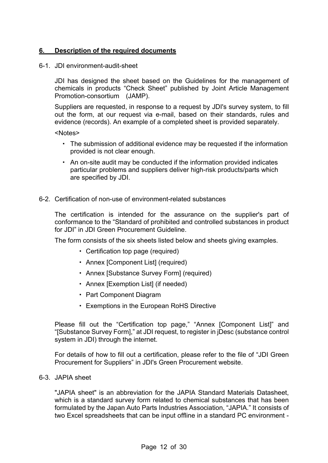#### **6. Description of the required documents**

#### 6-1. JDI environment-audit-sheet

JDI has designed the sheet based on the Guidelines for the management of chemicals in products "Check Sheet" published by Joint Article Management Promotion-consortium (JAMP).

Suppliers are requested, in response to a request by JDI's survey system, to fill out the form, at our request via e-mail, based on their standards, rules and evidence (records). An example of a completed sheet is provided separately.

<Notes>

- The submission of additional evidence may be requested if the information provided is not clear enough.
- An on-site audit may be conducted if the information provided indicates particular problems and suppliers deliver high-risk products/parts which are specified by JDI.

#### 6-2. Certification of non-use of environment-related substances

The certification is intended for the assurance on the supplier's part of conformance to the "Standard of prohibited and controlled substances in product for JDI" in JDI Green Procurement Guideline.

The form consists of the six sheets listed below and sheets giving examples.

- Certification top page (required)
- Annex [Component List] (required)
- Annex [Substance Survey Form] (required)
- Annex [Exemption List] (if needed)
- Part Component Diagram
- Exemptions in the European RoHS Directive

Please fill out the "Certification top page," "Annex [Component List]" and "[Substance Survey Form]," at JDI request, to register in jDesc (substance control system in JDI) through the internet.

For details of how to fill out a certification, please refer to the file of "JDI Green Procurement for Suppliers" in JDI's Green Procurement website.

#### 6-3. JAPIA sheet

"JAPIA sheet" is an abbreviation for the JAPIA Standard Materials Datasheet, which is a standard survey form related to chemical substances that has been formulated by the Japan Auto Parts Industries Association, "JAPIA." It consists of two Excel spreadsheets that can be input offline in a standard PC environment -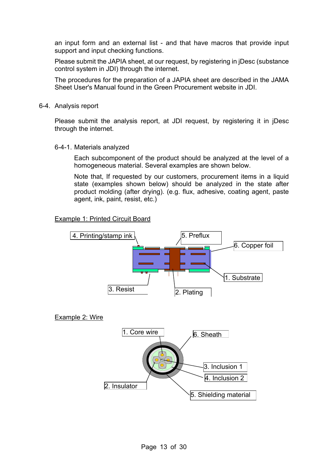an input form and an external list - and that have macros that provide input support and input checking functions.

Please submit the JAPIA sheet, at our request, by registering in jDesc (substance control system in JDI) through the internet.

The procedures for the preparation of a JAPIA sheet are described in the JAMA Sheet User's Manual found in the Green Procurement website in JDI.

6-4. Analysis report

Please submit the analysis report, at JDI request, by registering it in jDesc through the internet.

6-4-1. Materials analyzed

Each subcomponent of the product should be analyzed at the level of a homogeneous material. Several examples are shown below.

Note that, If requested by our customers, procurement items in a liquid state (examples shown below) should be analyzed in the state after product molding (after drying). (e.g. flux, adhesive, coating agent, paste agent, ink, paint, resist, etc.)

#### Example 1: Printed Circuit Board



#### Example 2: Wire

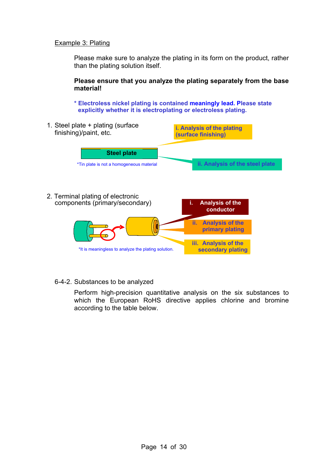#### Example 3: Plating

Please make sure to analyze the plating in its form on the product, rather than the plating solution itself.

**Please ensure that you analyze the plating separately from the base material!** 

**\* Electroless nickel plating is contained meaningly lead. Please state explicitly whether it is electroplating or electroless plating.** 



#### 6-4-2. Substances to be analyzed

Perform high-precision quantitative analysis on the six substances to which the European RoHS directive applies chlorine and bromine according to the table below.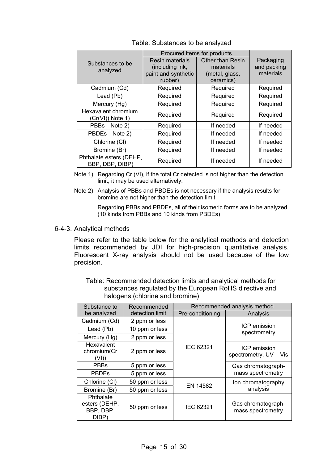| Procured items for products                |                        |                         |             |
|--------------------------------------------|------------------------|-------------------------|-------------|
| Substances to be                           | <b>Resin materials</b> | <b>Other than Resin</b> | Packaging   |
| analyzed                                   | (including ink,        | materials               | and packing |
|                                            | paint and synthetic    | (metal, glass,          | materials   |
|                                            | rubber)                | ceramics)               |             |
| Cadmium (Cd)                               | Required               | Required                | Required    |
| Lead (Pb)                                  | Required               | Required                | Required    |
| Mercury (Hg)                               | Required               | Required                | Required    |
| Hexavalent chromium<br>(Cr(VI)) Note 1)    | Required               | Required                | Required    |
| PBBs<br>Note 2)                            | Required               | If needed               | If needed   |
| PBDEs Note 2)                              | Required               | If needed               | If needed   |
| Chlorine (CI)                              | Required               | If needed               | If needed   |
| Bromine (Br)                               | Required               | If needed               | If needed   |
| Phthalate esters (DEHP,<br>BBP, DBP, DIBP) | Required               | If needed               | If needed   |

Table: Substances to be analyzed

- Note 1) Regarding Cr (VI), if the total Cr detected is not higher than the detection limit, it may be used alternatively.
- Note 2) Analysis of PBBs and PBDEs is not necessary if the analysis results for bromine are not higher than the detection limit.

Regarding PBBs and PBDEs, all of their isomeric forms are to be analyzed. (10 kinds from PBBs and 10 kinds from PBDEs)

6-4-3. Analytical methods

Please refer to the table below for the analytical methods and detection limits recommended by JDI for high-precision quantitative analysis. Fluorescent X-ray analysis should not be used because of the low precision.

Table: Recommended detection limits and analytical methods for substances regulated by the European RoHS directive and halogens (chlorine and bromine)

| Substance to                                     | Recommended     | Recommended analysis method |                                         |  |
|--------------------------------------------------|-----------------|-----------------------------|-----------------------------------------|--|
| be analyzed                                      | detection limit | Pre-conditioning            | Analysis                                |  |
| Cadmium (Cd)                                     | 2 ppm or less   |                             |                                         |  |
| Lead (Pb)                                        | 10 ppm or less  |                             | <b>ICP</b> emission<br>spectrometry     |  |
| Mercury (Hg)                                     | 2 ppm or less   |                             |                                         |  |
| Hexavalent<br>chromium(Cr<br>(VI))               | 2 ppm or less   | IEC 62321                   | ICP emission<br>spectrometry, UV - Vis  |  |
| <b>PBBs</b>                                      | 5 ppm or less   |                             | Gas chromatograph-                      |  |
| <b>PBDEs</b>                                     | 5 ppm or less   |                             | mass spectrometry                       |  |
| Chlorine (CI)                                    | 50 ppm or less  |                             | Ion chromatography                      |  |
| Bromine (Br)                                     | 50 ppm or less  | EN 14582                    | analysis                                |  |
| Phthalate<br>esters (DEHP,<br>BBP, DBP,<br>DIBP) | 50 ppm or less  | IEC 62321                   | Gas chromatograph-<br>mass spectrometry |  |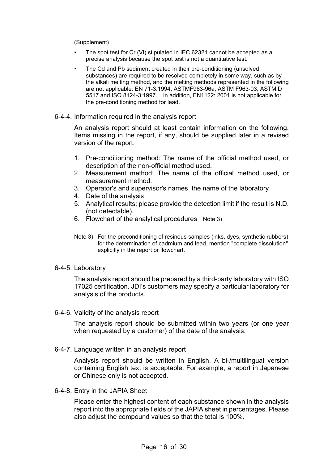(Supplement)

- The spot test for Cr (VI) stipulated in IEC 62321 cannot be accepted as a precise analysis because the spot test is not a quantitative test.
- The Cd and Pb sediment created in their pre-conditioning (unsolved substances) are required to be resolved completely in some way, such as by the alkali melting method, and the melting methods represented in the following are not applicable: EN 71-3:1994, ASTMF963-96a, ASTM F963-03, ASTM D 5517 and ISO 8124-3:1997. In addition, EN1122: 2001 is not applicable for the pre-conditioning method for lead.

#### 6-4-4. Information required in the analysis report

An analysis report should at least contain information on the following. Items missing in the report, if any, should be supplied later in a revised version of the report.

- 1. Pre-conditioning method: The name of the official method used, or description of the non-official method used.
- 2. Measurement method: The name of the official method used, or measurement method.
- 3. Operator's and supervisor's names, the name of the laboratory
- 4. Date of the analysis
- 5. Analytical results; please provide the detection limit if the result is N.D. (not detectable).
- 6. Flowchart of the analytical procedures Note 3)
- Note 3) For the preconditioning of resinous samples (inks, dyes, synthetic rubbers) for the determination of cadmium and lead, mention "complete dissolution" explicitly in the report or flowchart.

#### 6-4-5. Laboratory

The analysis report should be prepared by a third-party laboratory with ISO 17025 certification. JDI's customers may specify a particular laboratory for analysis of the products.

6-4-6. Validity of the analysis report

The analysis report should be submitted within two years (or one year when requested by a customer) of the date of the analysis.

6-4-7. Language written in an analysis report

Analysis report should be written in English. A bi-/multilingual version containing English text is acceptable. For example, a report in Japanese or Chinese only is not accepted.

6-4-8. Entry in the JAPIA Sheet

Please enter the highest content of each substance shown in the analysis report into the appropriate fields of the JAPIA sheet in percentages. Please also adjust the compound values so that the total is 100%.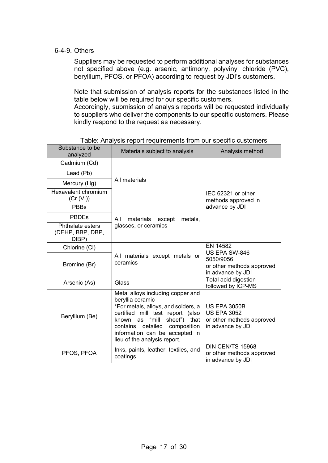#### 6-4-9. Others

Suppliers may be requested to perform additional analyses for substances not specified above (e.g. arsenic, antimony, polyvinyl chloride (PVC), beryllium, PFOS, or PFOA) according to request by JDI's customers.

Note that submission of analysis reports for the substances listed in the table below will be required for our specific customers.

Accordingly, submission of analysis reports will be requested individually to suppliers who deliver the components to our specific customers. Please kindly respond to the request as necessary.

| Substance to be<br>analyzed                   | Materials subject to analysis                                                                                                                                                                                                                                            | Analysis method                                                                             |
|-----------------------------------------------|--------------------------------------------------------------------------------------------------------------------------------------------------------------------------------------------------------------------------------------------------------------------------|---------------------------------------------------------------------------------------------|
| Cadmium (Cd)                                  |                                                                                                                                                                                                                                                                          |                                                                                             |
| Lead (Pb)                                     |                                                                                                                                                                                                                                                                          |                                                                                             |
| Mercury (Hg)                                  | All materials                                                                                                                                                                                                                                                            |                                                                                             |
| Hexavalent chromium<br>(Cr (VI))              |                                                                                                                                                                                                                                                                          | IEC 62321 or other<br>methods approved in                                                   |
| <b>PBBs</b>                                   |                                                                                                                                                                                                                                                                          | advance by JDI                                                                              |
| <b>PBDEs</b>                                  | materials<br>metals,<br>All<br>except                                                                                                                                                                                                                                    |                                                                                             |
| Phthalate esters<br>(DEHP, BBP, DBP,<br>DIBP) | glasses, or ceramics                                                                                                                                                                                                                                                     |                                                                                             |
| Chlorine (CI)                                 |                                                                                                                                                                                                                                                                          | EN 14582<br>US EPA SW-846                                                                   |
| Bromine (Br)                                  | All materials except metals or<br>ceramics                                                                                                                                                                                                                               | 5050/9056<br>or other methods approved<br>in advance by JDI                                 |
| Arsenic (As)                                  | Glass                                                                                                                                                                                                                                                                    | Total acid digestion<br>followed by ICP-MS                                                  |
| Beryllium (Be)                                | Metal alloys including copper and<br>beryllia ceramic<br>*For metals, alloys, and solders, a<br>certified mill test report (also<br>known as "mill<br>sheet") that<br>contains detailed<br>composition<br>information can be accepted in<br>lieu of the analysis report. | <b>US EPA 3050B</b><br><b>US EPA 3052</b><br>or other methods approved<br>in advance by JDI |
| PFOS, PFOA                                    | Inks, paints, leather, textiles, and<br>coatings                                                                                                                                                                                                                         | DIN CEN/TS 15968<br>or other methods approved<br>in advance by JDI                          |

Table: Analysis report requirements from our specific customers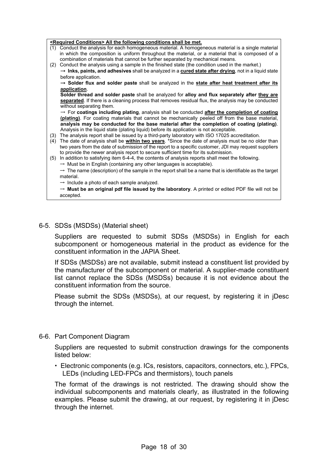|     | <required conditions=""> All the following conditions shall be met.</required>                                      |
|-----|---------------------------------------------------------------------------------------------------------------------|
| (1) | Conduct the analysis for each homogeneous material. A homogeneous material is a single material                     |
|     | in which the composition is uniform throughout the material, or a material that is composed of a                    |
|     | combination of materials that cannot be further separated by mechanical means.                                      |
| (2) | Conduct the analysis using a sample in the finished state (the condition used in the market.)                       |
|     | $\rightarrow$ lnks, paints, and adhesives shall be analyzed in a cured state after drying, not in a liquid state    |
|     | before application.                                                                                                 |
|     | → Solder flux and solder paste shall be analyzed in the state after heat treatment after its                        |
|     | application.                                                                                                        |
|     | Solder thread and solder paste shall be analyzed for alloy and flux separately after they are                       |
|     | separated. If there is a cleaning process that removes residual flux, the analysis may be conducted                 |
|     | without separating them.                                                                                            |
|     | $\rightarrow$ For coatings including plating, analysis shall be conducted after the completion of coating           |
|     | (plating). For coating materials that cannot be mechanically peeled off from the base material,                     |
|     | analysis may be conducted for the base material after the completion of coating (plating).                          |
|     | Analysis in the liquid state (plating liquid) before its application is not acceptable.                             |
| (3) | The analysis report shall be issued by a third-party laboratory with ISO 17025 accreditation.                       |
| (4) | The date of analysis shall be within two years. *Since the date of analysis must be no older than                   |
|     | two years from the date of submission of the report to a specific customer, JDI may request suppliers               |
|     | to provide the newer analysis report to secure sufficient time for its submission.                                  |
| (5) | In addition to satisfying item 6-4-4, the contents of analysis reports shall meet the following.                    |
|     | $\rightarrow$ Must be in English (containing any other languages is acceptable).                                    |
|     | $\rightarrow$ The name (description) of the sample in the report shall be a name that is identifiable as the target |
|     | material.                                                                                                           |
|     | $\rightarrow$ Include a photo of each sample analyzed.                                                              |
|     | $\rightarrow$ Must be an original pdf file issued by the laboratory. A printed or edited PDF file will not be       |
|     | accepted.                                                                                                           |

6-5. SDSs (MSDSs) (Material sheet)

Suppliers are requested to submit SDSs (MSDSs) in English for each subcomponent or homogeneous material in the product as evidence for the constituent information in the JAPIA Sheet.

If SDSs (MSDSs) are not available, submit instead a constituent list provided by the manufacturer of the subcomponent or material. A supplier-made constituent list cannot replace the SDSs (MSDSs) because it is not evidence about the constituent information from the source.

Please submit the SDSs (MSDSs), at our request, by registering it in jDesc through the internet.

6-6. Part Component Diagram

Suppliers are requested to submit construction drawings for the components listed below:

 Electronic components (e.g. ICs, resistors, capacitors, connectors, etc.), FPCs, LEDs (including LED-FPCs and thermistors), touch panels

The format of the drawings is not restricted. The drawing should show the individual subcomponents and materials clearly, as illustrated in the following examples. Please submit the drawing, at our request, by registering it in jDesc through the internet.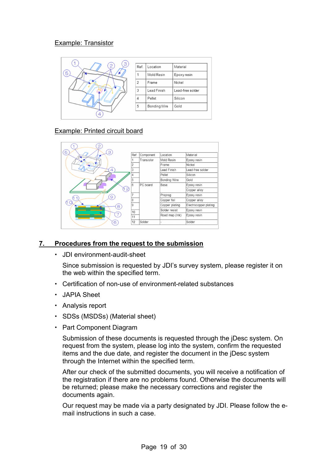#### Example: Transistor

| З<br>2. | Ref.           | Location     | Material         |
|---------|----------------|--------------|------------------|
| 5       |                | Mold Resin   | Epoxy resin      |
|         | $\overline{2}$ | Frame        | Nickel           |
|         | 3              | Lead Finish  | Lead-free solder |
|         | $\Delta$       | Pellet       | Silicon          |
|         | 5              | Bonding Wire | Gold             |
| 4       |                |              |                  |

#### Example: Printed circuit board



#### **7. Procedures from the request to the submission**

JDI environment-audit-sheet

Since submission is requested by JDI's survey system, please register it on the web within the specified term.

- Certification of non-use of environment-related substances
- JAPIA Sheet
- Analysis report
- SDSs (MSDSs) (Material sheet)
- Part Component Diagram

Submission of these documents is requested through the jDesc system. On request from the system, please log into the system, confirm the requested items and the due date, and register the document in the jDesc system through the Internet within the specified term.

After our check of the submitted documents, you will receive a notification of the registration if there are no problems found. Otherwise the documents will be returned; please make the necessary corrections and register the documents again.

Our request may be made via a party designated by JDI. Please follow the email instructions in such a case.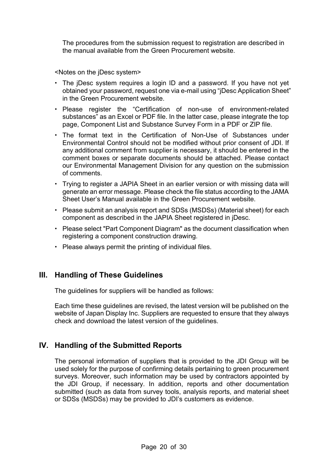The procedures from the submission request to registration are described in the manual available from the Green Procurement website.

<Notes on the jDesc system>

- The jDesc system requires a login ID and a password. If you have not yet obtained your password, request one via e-mail using "jDesc Application Sheet" in the Green Procurement website.
- Please register the "Certification of non-use of environment-related substances" as an Excel or PDF file. In the latter case, please integrate the top page, Component List and Substance Survey Form in a PDF or ZIP file.
- The format text in the Certification of Non-Use of Substances under Environmental Control should not be modified without prior consent of JDI. If any additional comment from supplier is necessary, it should be entered in the comment boxes or separate documents should be attached. Please contact our Environmental Management Division for any question on the submission of comments.
- Trying to register a JAPIA Sheet in an earlier version or with missing data will generate an error message. Please check the file status according to the JAMA Sheet User's Manual available in the Green Procurement website.
- Please submit an analysis report and SDSs (MSDSs) (Material sheet) for each component as described in the JAPIA Sheet registered in jDesc.
- Please select "Part Component Diagram" as the document classification when registering a component construction drawing.
- Please always permit the printing of individual files.

### **III. Handling of These Guidelines**

The guidelines for suppliers will be handled as follows:

Each time these guidelines are revised, the latest version will be published on the website of Japan Display Inc. Suppliers are requested to ensure that they always check and download the latest version of the guidelines.

### **IV. Handling of the Submitted Reports**

The personal information of suppliers that is provided to the JDI Group will be used solely for the purpose of confirming details pertaining to green procurement surveys. Moreover, such information may be used by contractors appointed by the JDI Group, if necessary. In addition, reports and other documentation submitted (such as data from survey tools, analysis reports, and material sheet or SDSs (MSDSs) may be provided to JDI's customers as evidence.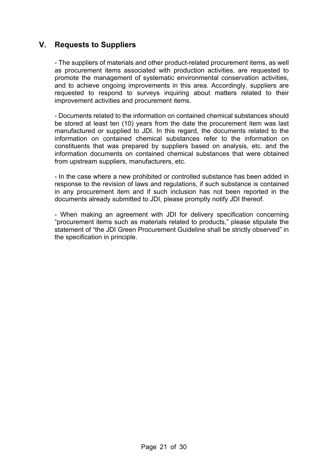## **V. Requests to Suppliers**

- The suppliers of materials and other product-related procurement items, as well as procurement items associated with production activities, are requested to promote the management of systematic environmental conservation activities, and to achieve ongoing improvements in this area. Accordingly, suppliers are requested to respond to surveys inquiring about matters related to their improvement activities and procurement items.

- Documents related to the information on contained chemical substances should be stored at least ten (10) years from the date the procurement item was last manufactured or supplied to JDI. In this regard, the documents related to the information on contained chemical substances refer to the information on constituents that was prepared by suppliers based on analysis, etc. and the information documents on contained chemical substances that were obtained from upstream suppliers, manufacturers, etc.

- In the case where a new prohibited or controlled substance has been added in response to the revision of laws and regulations, if such substance is contained in any procurement item and if such inclusion has not been reported in the documents already submitted to JDI, please promptly notify JDI thereof.

- When making an agreement with JDI for delivery specification concerning "procurement items such as materials related to products," please stipulate the statement of "the JDI Green Procurement Guideline shall be strictly observed" in the specification in principle.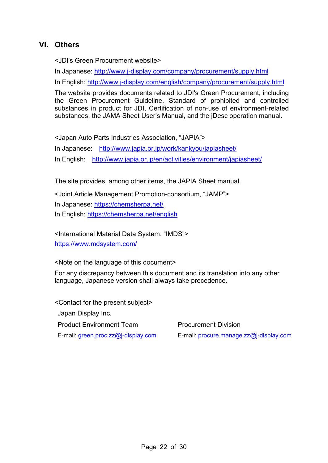# **VI. Others**

<JDI's Green Procurement website>

In Japanese: http://www.j-display.com/company/procurement/supply.html

In English: http://www.j-display.com/english/company/procurement/supply.html

The website provides documents related to JDI's Green Procurement, including the Green Procurement Guideline, Standard of prohibited and controlled substances in product for JDI, Certification of non-use of environment-related substances, the JAMA Sheet User's Manual, and the jDesc operation manual.

<Japan Auto Parts Industries Association, "JAPIA"> In Japanese: http://www.japia.or.jp/work/kankyou/japiasheet/ In English: http://www.japia.or.jp/en/activities/environment/japiasheet/

The site provides, among other items, the JAPIA Sheet manual.

<Joint Article Management Promotion-consortium, "JAMP"> In Japanese: https://chemsherpa.net/ In English: https://chemsherpa.net/english

<International Material Data System, "IMDS"> https://www.mdsystem.com/

<Note on the language of this document>

For any discrepancy between this document and its translation into any other language, Japanese version shall always take precedence.

<Contact for the present subject> Japan Display Inc. **Product Environment Team Procurement Division** 

E-mail: green.proc.zz@j-display.com E-mail: procure.manage.zz@j-display.com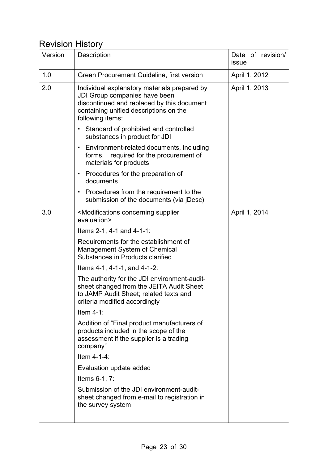# Revision History

| Version | Description                                                                                                                                                                               | Date of revision/<br>issue |
|---------|-------------------------------------------------------------------------------------------------------------------------------------------------------------------------------------------|----------------------------|
| 1.0     | Green Procurement Guideline, first version                                                                                                                                                | April 1, 2012              |
| 2.0     | Individual explanatory materials prepared by<br>JDI Group companies have been<br>discontinued and replaced by this document<br>containing unified descriptions on the<br>following items: | April 1, 2013              |
|         | Standard of prohibited and controlled<br>substances in product for JDI                                                                                                                    |                            |
|         | Environment-related documents, including<br>٠<br>forms, required for the procurement of<br>materials for products                                                                         |                            |
|         | Procedures for the preparation of<br>۰.<br>documents                                                                                                                                      |                            |
|         | Procedures from the requirement to the<br>submission of the documents (via jDesc)                                                                                                         |                            |
| 3.0     | <modifications concerning="" supplier<br="">evaluation&gt;</modifications>                                                                                                                | April 1, 2014              |
|         | Items $2-1$ , $4-1$ and $4-1-1$ :                                                                                                                                                         |                            |
|         | Requirements for the establishment of<br>Management System of Chemical<br>Substances in Products clarified                                                                                |                            |
|         | Items $4-1$ , $4-1-1$ , and $4-1-2$ :                                                                                                                                                     |                            |
|         | The authority for the JDI environment-audit-<br>sheet changed from the JEITA Audit Sheet<br>to JAMP Audit Sheet: related texts and<br>criteria modified accordingly                       |                            |
|         | Item $4-1$ :                                                                                                                                                                              |                            |
|         | Addition of "Final product manufacturers of<br>products included in the scope of the<br>assessment if the supplier is a trading<br>company"                                               |                            |
|         | Item $4-1-4$ :                                                                                                                                                                            |                            |
|         | Evaluation update added                                                                                                                                                                   |                            |
|         | Items 6-1, 7:                                                                                                                                                                             |                            |
|         | Submission of the JDI environment-audit-<br>sheet changed from e-mail to registration in<br>the survey system                                                                             |                            |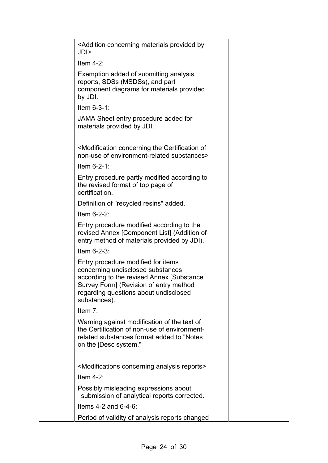| <addition by<br="" concerning="" materials="" provided="">JDI&gt;</addition>                                                                                                                                            |
|-------------------------------------------------------------------------------------------------------------------------------------------------------------------------------------------------------------------------|
| Item $4-2$ :                                                                                                                                                                                                            |
| Exemption added of submitting analysis<br>reports, SDSs (MSDSs), and part<br>component diagrams for materials provided<br>by JDI.                                                                                       |
| Item $6-3-1$ :                                                                                                                                                                                                          |
| JAMA Sheet entry procedure added for<br>materials provided by JDI.                                                                                                                                                      |
| <modification certification="" concerning="" of<br="" the="">non-use of environment-related substances&gt;</modification>                                                                                               |
| Item $6-2-1$ :                                                                                                                                                                                                          |
| Entry procedure partly modified according to<br>the revised format of top page of<br>certification.                                                                                                                     |
| Definition of "recycled resins" added.                                                                                                                                                                                  |
| Item $6-2-2$ :                                                                                                                                                                                                          |
| Entry procedure modified according to the<br>revised Annex [Component List] (Addition of<br>entry method of materials provided by JDI).                                                                                 |
| Item $6-2-3$ :                                                                                                                                                                                                          |
| Entry procedure modified for items<br>concerning undisclosed substances<br>according to the revised Annex [Substance<br>Survey Form] (Revision of entry method<br>regarding questions about undisclosed<br>substances). |
| Item $7$ :                                                                                                                                                                                                              |
| Warning against modification of the text of<br>the Certification of non-use of environment-<br>related substances format added to "Notes<br>on the jDesc system."                                                       |
| <modifications analysis="" concerning="" reports=""></modifications>                                                                                                                                                    |
| Item $4-2$ :                                                                                                                                                                                                            |
| Possibly misleading expressions about<br>submission of analytical reports corrected.                                                                                                                                    |
| Items $4-2$ and $6-4-6$ :                                                                                                                                                                                               |
| Period of validity of analysis reports changed                                                                                                                                                                          |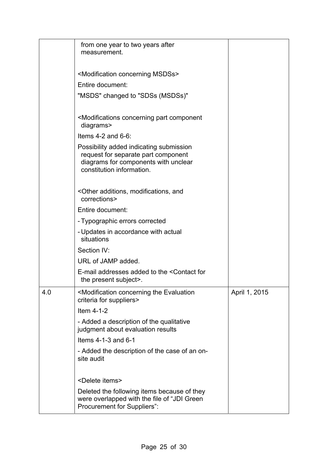|     | from one year to two years after<br>measurement.                                                                                                    |               |
|-----|-----------------------------------------------------------------------------------------------------------------------------------------------------|---------------|
|     | <modification concerning="" msdss=""></modification>                                                                                                |               |
|     | Entire document:                                                                                                                                    |               |
|     | "MSDS" changed to "SDSs (MSDSs)"                                                                                                                    |               |
|     | <modifications component<br="" concerning="" part="">diagrams&gt;</modifications>                                                                   |               |
|     | Items $4-2$ and $6-6$ :                                                                                                                             |               |
|     | Possibility added indicating submission<br>request for separate part component<br>diagrams for components with unclear<br>constitution information. |               |
|     | <other additions,="" and<br="" modifications,="">corrections&gt;</other>                                                                            |               |
|     | Entire document:                                                                                                                                    |               |
|     | - Typographic errors corrected                                                                                                                      |               |
|     | - Updates in accordance with actual<br>situations                                                                                                   |               |
|     | Section IV:                                                                                                                                         |               |
|     | URL of JAMP added.                                                                                                                                  |               |
|     | E-mail addresses added to the <contact for<br="">the present subject&gt;.</contact>                                                                 |               |
| 4.0 | <modification concerning="" evaluation<br="" the="">criteria for suppliers&gt;</modification>                                                       | April 1, 2015 |
|     | Item 4-1-2                                                                                                                                          |               |
|     | - Added a description of the qualitative<br>judgment about evaluation results                                                                       |               |
|     | Items 4-1-3 and 6-1                                                                                                                                 |               |
|     | - Added the description of the case of an on-<br>site audit                                                                                         |               |
|     | <delete items=""></delete>                                                                                                                          |               |
|     | Deleted the following items because of they<br>were overlapped with the file of "JDI Green<br>Procurement for Suppliers":                           |               |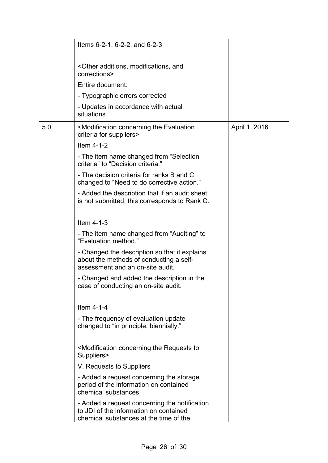|     | Items 6-2-1, 6-2-2, and 6-2-3                                                                                                     |               |
|-----|-----------------------------------------------------------------------------------------------------------------------------------|---------------|
|     | <other additions,="" and<br="" modifications,="">corrections&gt;</other>                                                          |               |
|     | Entire document:                                                                                                                  |               |
|     | - Typographic errors corrected                                                                                                    |               |
|     | - Updates in accordance with actual<br>situations                                                                                 |               |
| 5.0 | <modification concerning="" evaluation<br="" the="">criteria for suppliers&gt;</modification>                                     | April 1, 2016 |
|     | Item 4-1-2                                                                                                                        |               |
|     | - The item name changed from "Selection<br>criteria" to "Decision criteria."                                                      |               |
|     | - The decision criteria for ranks B and C<br>changed to "Need to do corrective action."                                           |               |
|     | - Added the description that if an audit sheet<br>is not submitted, this corresponds to Rank C.                                   |               |
|     | Item $4-1-3$                                                                                                                      |               |
|     | - The item name changed from "Auditing" to<br>"Evaluation method."                                                                |               |
|     | - Changed the description so that it explains<br>about the methods of conducting a self-<br>assessment and an on-site audit.      |               |
|     | - Changed and added the description in the<br>case of conducting an on-site audit.                                                |               |
|     | Item 4-1-4                                                                                                                        |               |
|     | - The frequency of evaluation update<br>changed to "in principle, biennially."                                                    |               |
|     | <modification concerning="" requests="" the="" to<br="">Suppliers&gt;</modification>                                              |               |
|     | V. Requests to Suppliers                                                                                                          |               |
|     | - Added a request concerning the storage<br>period of the information on contained<br>chemical substances.                        |               |
|     | - Added a request concerning the notification<br>to JDI of the information on contained<br>chemical substances at the time of the |               |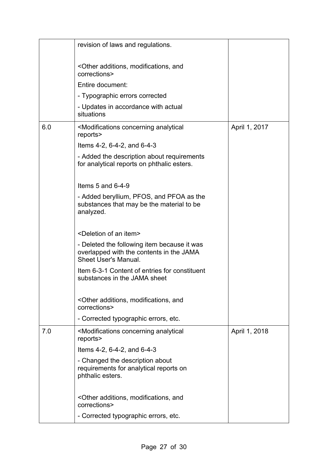|     | revision of laws and regulations.                                                                                      |               |
|-----|------------------------------------------------------------------------------------------------------------------------|---------------|
|     | <other additions,="" and<br="" modifications,="">corrections&gt;</other>                                               |               |
|     | Entire document:                                                                                                       |               |
|     | - Typographic errors corrected                                                                                         |               |
|     | - Updates in accordance with actual<br>situations                                                                      |               |
| 6.0 | <modifications analytical<br="" concerning="">reports&gt;</modifications>                                              | April 1, 2017 |
|     | Items 4-2, 6-4-2, and 6-4-3                                                                                            |               |
|     | - Added the description about requirements<br>for analytical reports on phthalic esters.                               |               |
|     | Items 5 and 6-4-9                                                                                                      |               |
|     | - Added beryllium, PFOS, and PFOA as the<br>substances that may be the material to be<br>analyzed.                     |               |
|     | <deletion an="" item="" of=""></deletion>                                                                              |               |
|     | - Deleted the following item because it was<br>overlapped with the contents in the JAMA<br><b>Sheet User's Manual.</b> |               |
|     | Item 6-3-1 Content of entries for constituent<br>substances in the JAMA sheet                                          |               |
|     | <other additions,="" and<br="" modifications,="">corrections&gt;</other>                                               |               |
|     | - Corrected typographic errors, etc.                                                                                   |               |
| 7.0 | <modifications analytical<br="" concerning="">reports&gt;</modifications>                                              | April 1, 2018 |
|     | Items 4-2, 6-4-2, and 6-4-3                                                                                            |               |
|     | - Changed the description about<br>requirements for analytical reports on<br>phthalic esters.                          |               |
|     | <other additions,="" and<br="" modifications,="">corrections&gt;</other>                                               |               |
|     | - Corrected typographic errors, etc.                                                                                   |               |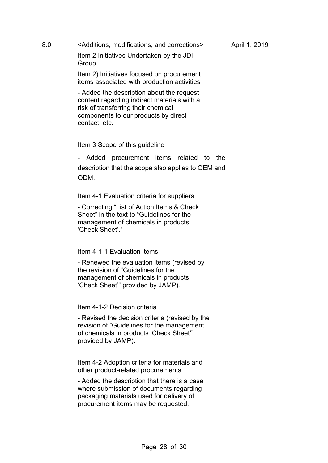| 8.0 | <additions, and="" corrections="" modifications,=""></additions,>                                                                                                                        | April 1, 2019 |
|-----|------------------------------------------------------------------------------------------------------------------------------------------------------------------------------------------|---------------|
|     | Item 2 Initiatives Undertaken by the JDI<br>Group                                                                                                                                        |               |
|     | Item 2) Initiatives focused on procurement<br>items associated with production activities                                                                                                |               |
|     | - Added the description about the request<br>content regarding indirect materials with a<br>risk of transferring their chemical<br>components to our products by direct<br>contact, etc. |               |
|     | Item 3 Scope of this guideline                                                                                                                                                           |               |
|     | procurement items related to<br>Added<br>the<br>description that the scope also applies to OEM and<br>ODM.                                                                               |               |
|     | Item 4-1 Evaluation criteria for suppliers                                                                                                                                               |               |
|     | - Correcting "List of Action Items & Check<br>Sheet" in the text to "Guidelines for the<br>management of chemicals in products<br>'Check Sheet'."                                        |               |
|     | Item 4-1-1 Evaluation items                                                                                                                                                              |               |
|     | - Renewed the evaluation items (revised by<br>the revision of "Guidelines for the<br>management of chemicals in products<br>'Check Sheet" provided by JAMP).                             |               |
|     | Item 4-1-2 Decision criteria                                                                                                                                                             |               |
|     | - Revised the decision criteria (revised by the<br>revision of "Guidelines for the management<br>of chemicals in products 'Check Sheet'"<br>provided by JAMP).                           |               |
|     | Item 4-2 Adoption criteria for materials and<br>other product-related procurements                                                                                                       |               |
|     | - Added the description that there is a case<br>where submission of documents regarding<br>packaging materials used for delivery of<br>procurement items may be requested.               |               |
|     |                                                                                                                                                                                          |               |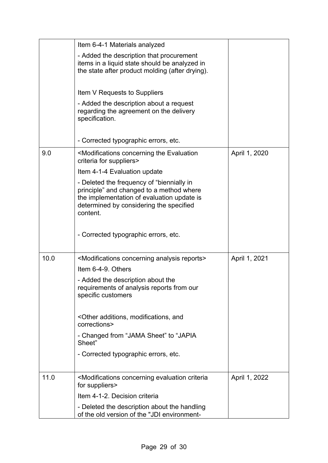|      | Item 6-4-1 Materials analyzed                                                                                                                                                              |               |
|------|--------------------------------------------------------------------------------------------------------------------------------------------------------------------------------------------|---------------|
|      | - Added the description that procurement<br>items in a liquid state should be analyzed in<br>the state after product molding (after drying).                                               |               |
|      | Item V Requests to Suppliers                                                                                                                                                               |               |
|      | - Added the description about a request<br>regarding the agreement on the delivery<br>specification.                                                                                       |               |
|      | - Corrected typographic errors, etc.                                                                                                                                                       |               |
| 9.0  | <modifications concerning="" evaluation<br="" the="">criteria for suppliers&gt;</modifications>                                                                                            | April 1, 2020 |
|      | Item 4-1-4 Evaluation update                                                                                                                                                               |               |
|      | - Deleted the frequency of "biennially in<br>principle" and changed to a method where<br>the implementation of evaluation update is<br>determined by considering the specified<br>content. |               |
|      | - Corrected typographic errors, etc.                                                                                                                                                       |               |
| 10.0 | <modifications analysis="" concerning="" reports=""></modifications>                                                                                                                       | April 1, 2021 |
|      | Item 6-4-9. Others                                                                                                                                                                         |               |
|      | - Added the description about the<br>requirements of analysis reports from our<br>specific customers                                                                                       |               |
|      | <other additions,="" and<br="" modifications,="">corrections&gt;</other>                                                                                                                   |               |
|      | - Changed from "JAMA Sheet" to "JAPIA<br>Sheet"                                                                                                                                            |               |
|      | - Corrected typographic errors, etc.                                                                                                                                                       |               |
| 11.0 | <modifications concerning="" criteria<br="" evaluation="">for suppliers&gt;</modifications>                                                                                                | April 1, 2022 |
|      | Item 4-1-2. Decision criteria                                                                                                                                                              |               |
|      | - Deleted the description about the handling<br>of the old version of the "JDI environment-                                                                                                |               |